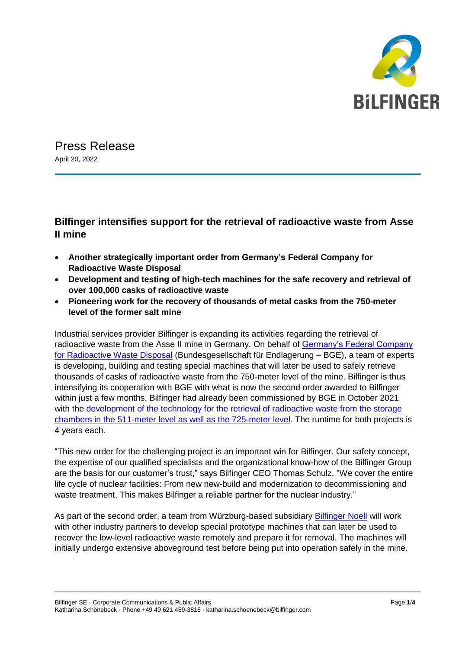

Press Release April 20, 2022

## **Bilfinger intensifies support for the retrieval of radioactive waste from Asse II mine**

- **Another strategically important order from Germany's [Federal Company for](https://www.bge.de/en/)  [Radioactive Waste Disposal](https://www.bge.de/en/)**
- **Development and testing of high-tech machines for the safe recovery and retrieval of over 100,000 casks of radioactive waste**
- **Pioneering work for the recovery of thousands of metal casks from the 750-meter level of the former salt mine**

Industrial services provider Bilfinger is expanding its activities regarding the retrieval of radioactive waste from the Asse II mine in Germany. On behalf of [Germany's Federal Company](https://www.bge.de/en/)  [for Radioactive Waste Disposal](https://www.bge.de/en/) (Bundesgesellschaft für Endlagerung – BGE), a team of experts is developing, building and testing special machines that will later be used to safely retrieve thousands of casks of radioactive waste from the 750-meter level of the mine. Bilfinger is thus intensifying its cooperation with BGE with what is now the second order awarded to Bilfinger within just a few months. Bilfinger had already been commissioned by BGE in October 2021 with the development of the technology for the retrieval of radioactive waste from the storage chambers in the 511-meter [level as well as the 725-meter](https://www.bilfinger.com/en/news/press-releases/details/bilfinger-supporting-retrieval-of-radioactive-waste-from-former-asse-mine-1/) level. The runtime for both projects is 4 years each.

"This new order for the challenging project is an important win for Bilfinger. Our safety concept, the expertise of our qualified specialists and the organizational know-how of the Bilfinger Group are the basis for our customer's trust," says Bilfinger CEO Thomas Schulz. "We cover the entire life cycle of nuclear facilities: From new new-build and modernization to decommissioning and waste treatment. This makes Bilfinger a reliable partner for the nuclear industry."

As part of the second order, a team from Würzburg-based subsidiary [Bilfinger Noell](https://www.noell.bilfinger.com/en/) will work with other industry partners to develop special prototype machines that can later be used to recover the low-level radioactive waste remotely and prepare it for removal. The machines will initially undergo extensive aboveground test before being put into operation safely in the mine.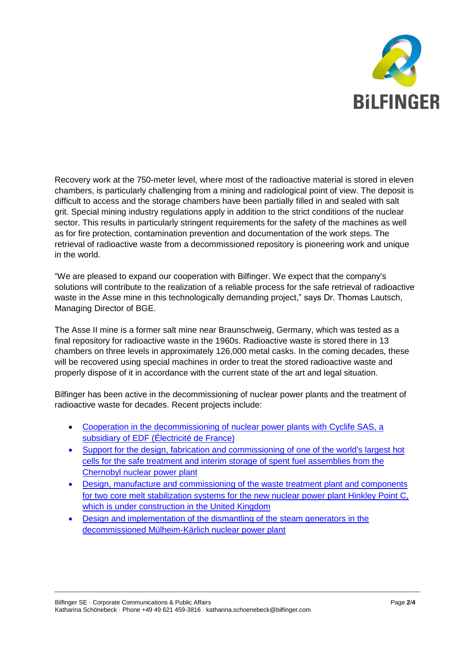

Recovery work at the 750-meter level, where most of the radioactive material is stored in eleven chambers, is particularly challenging from a mining and radiological point of view. The deposit is difficult to access and the storage chambers have been partially filled in and sealed with salt grit. Special mining industry regulations apply in addition to the strict conditions of the nuclear sector. This results in particularly stringent requirements for the safety of the machines as well as for fire protection, contamination prevention and documentation of the work steps. The retrieval of radioactive waste from a decommissioned repository is pioneering work and unique in the world.

"We are pleased to expand our cooperation with Bilfinger. We expect that the company's solutions will contribute to the realization of a reliable process for the safe retrieval of radioactive waste in the Asse mine in this technologically demanding project," says Dr. Thomas Lautsch, Managing Director of BGE.

The Asse II mine is a former salt mine near Braunschweig, Germany, which was tested as a final repository for radioactive waste in the 1960s. Radioactive waste is stored there in 13 chambers on three levels in approximately 126,000 metal casks. In the coming decades, these will be recovered using special machines in order to treat the stored radioactive waste and properly dispose of it in accordance with the current state of the art and legal situation.

Bilfinger has been active in the decommissioning of nuclear power plants and the treatment of radioactive waste for decades. Recent projects include:

- [Cooperation in the decommissioning of nuclear power plants with Cyclife SAS, a](https://www.bilfinger.com/en/news/press-releases/details/bilfinger-to-cooperate-with-cyclife-in-the-decommissioning-of-nuclear-power-plants-1/)  [subsidiary of EDF \(Électricité de France\)](https://www.bilfinger.com/en/news/press-releases/details/bilfinger-to-cooperate-with-cyclife-in-the-decommissioning-of-nuclear-power-plants-1/)
- [Support for the design, fabrication and commissioning of one of the world's largest hot](https://www.bilfinger.com/en/news/press-releases/details/bilfinger-supports-holtec-with-safe-treatment-and-interim-storage-of-spent-fuel-assemblies-from-the-chernobyl-nuclear-power-plant/)  [cells for the safe treatment and interim storage of spent fuel assemblies from the](https://www.bilfinger.com/en/news/press-releases/details/bilfinger-supports-holtec-with-safe-treatment-and-interim-storage-of-spent-fuel-assemblies-from-the-chernobyl-nuclear-power-plant/)  [Chernobyl nuclear power plant](https://www.bilfinger.com/en/news/press-releases/details/bilfinger-supports-holtec-with-safe-treatment-and-interim-storage-of-spent-fuel-assemblies-from-the-chernobyl-nuclear-power-plant/)
- [Design, manufacture and commissioning of the waste treatment plant and components](https://www.bilfinger.com/en/news/press-releases/details/bilfinger-making-hinkley-point-c-even-safer/)  [for two core melt stabilization systems for the](https://www.bilfinger.com/en/news/press-releases/details/bilfinger-making-hinkley-point-c-even-safer/) new nuclear power plant Hinkley Point C, [which is under construction in the United Kingdom](https://www.bilfinger.com/en/news/press-releases/details/bilfinger-making-hinkley-point-c-even-safer/)
- [Design and implementation of the dismantling of the steam generators in the](https://www.bilfinger.com/en/news/press-releases/details/rwe-reaches-nuclear-decomissioning-milestone-in-close-cooperation-with-bilfinger/)  [decommissioned Mülheim-Kärlich nuclear power plant](https://www.bilfinger.com/en/news/press-releases/details/rwe-reaches-nuclear-decomissioning-milestone-in-close-cooperation-with-bilfinger/)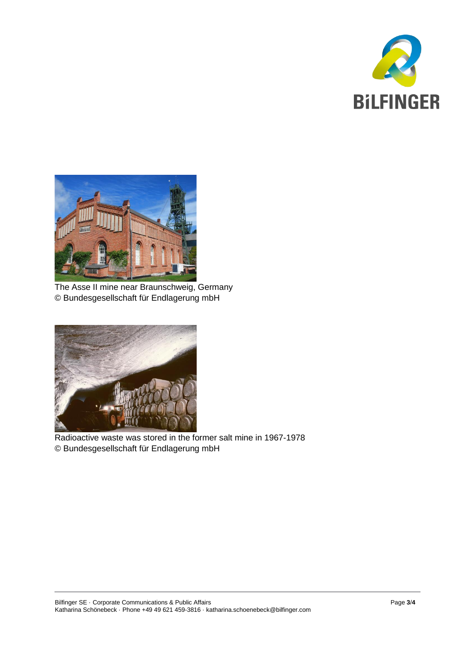



The Asse II mine near Braunschweig, Germany © Bundesgesellschaft für Endlagerung mbH



Radioactive waste was stored in the former salt mine in 1967-1978 © Bundesgesellschaft für Endlagerung mbH